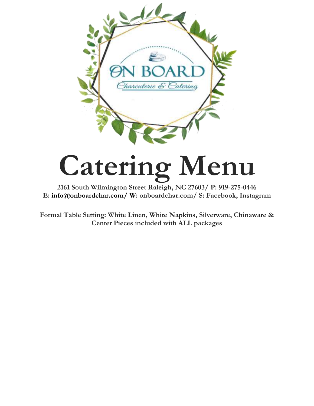

# **Catering Menu**

**2161 South Wilmington Street Raleigh, NC 27603/ P: 919-275-0446 E: [info@onboardchar.com/](mailto:info@onboardchar.com/) W: onboardchar.com/ S: Facebook, Instagram** 

**Formal Table Setting: White Linen, White Napkins, Silverware, Chinaware & Center Pieces included with ALL packages**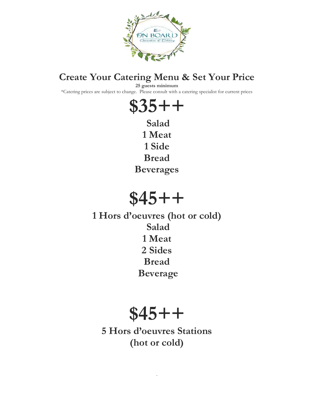

#### **Create Your Catering Menu & Set Your Price**

**25 guests minimum**

\*Catering prices are subject to change. Please consult with a catering specialist for current prices



**Salad 1 Meat 1 Side Bread Beverages**

## **\$45++**

**1 Hors d'oeuvres (hot or cold) Salad 1 Meat 2 Sides Bread Beverage**

## **\$45++**

**5 Hors d'oeuvres Stations (hot or cold)**

.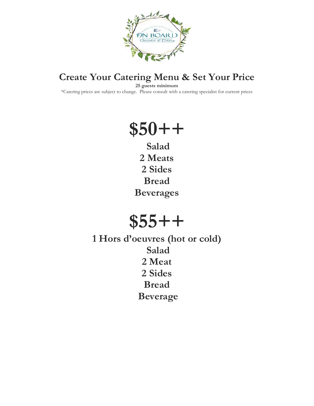

### **Create Your Catering Menu & Set Your Price**

**25 guests minimum**

\*Catering prices are subject to change. Please consult with a catering specialist for current prices

## **\$50++**

**Salad 2 Meats 2 Sides Bread Beverages**

## **\$55++**

**1 Hors d'oeuvres (hot or cold) Salad 2 Meat 2 Sides Bread Beverage**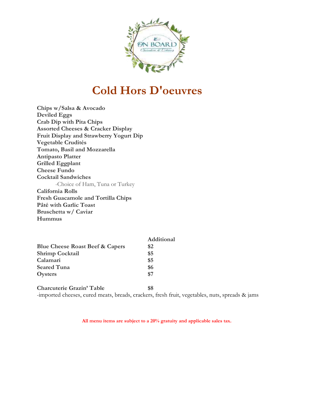

## **Cold Hors D'oeuvres**

**Chips w/Salsa & Avocado Deviled Eggs Crab Dip with Pita Chips Assorted Cheeses & Cracker Display Fruit Display and Strawberry Yogurt Dip Vegetable Crudités Tomato, Basil and Mozzarella Antipasto Platter Grilled Eggplant Cheese Fundo Cocktail Sandwiches** -Choice of Ham, Tuna or Turkey **California Rolls Fresh Guacamole and Tortilla Chips Pâté with Garlic Toast Bruschetta w/ Caviar Hummus** 

|                                            | Additional |
|--------------------------------------------|------------|
| <b>Blue Cheese Roast Beef &amp; Capers</b> | \$2        |
| <b>Shrimp Cocktail</b>                     | \$5        |
| Calamari                                   | \$5        |
| <b>Seared Tuna</b>                         | \$6        |
| Oysters                                    | \$7        |
|                                            |            |
| <b>Charcuterie Grazin' Table</b>           |            |

-imported cheeses, cured meats, breads, crackers, fresh fruit, vegetables, nuts, spreads & jams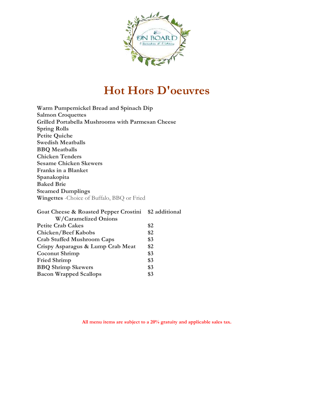

## **Hot Hors D'oeuvres**

| Warm Pumpernickel Bread and Spinach Dip            |
|----------------------------------------------------|
| <b>Salmon Croquettes</b>                           |
| Grilled Portabella Mushrooms with Parmesan Cheese  |
| <b>Spring Rolls</b>                                |
| <b>Petite Quiche</b>                               |
| <b>Swedish Meatballs</b>                           |
| <b>BBQ</b> Meatballs                               |
| <b>Chicken Tenders</b>                             |
| <b>Sesame Chicken Skewers</b>                      |
| <b>Franks in a Blanket</b>                         |
| Spanakopita                                        |
| <b>Baked Brie</b>                                  |
| <b>Steamed Dumplings</b>                           |
| <b>Wingettes</b> - Choice of Buffalo, BBQ or Fried |
|                                                    |

| Goat Cheese & Roasted Pepper Crostini \$2 additional |     |
|------------------------------------------------------|-----|
| <b>W/Caramelized Onions</b>                          |     |
| <b>Petite Crab Cakes</b>                             | \$2 |
| <b>Chicken/Beef Kabobs</b>                           | \$2 |
| <b>Crab Stuffed Mushroom Caps</b>                    | \$3 |
| Crispy Asparagus & Lump Crab Meat                    | \$2 |
| <b>Coconut Shrimp</b>                                | \$3 |
| <b>Fried Shrimp</b>                                  | \$3 |
| <b>BBQ Shrimp Skewers</b>                            | \$3 |
| <b>Bacon Wrapped Scallops</b>                        | \$3 |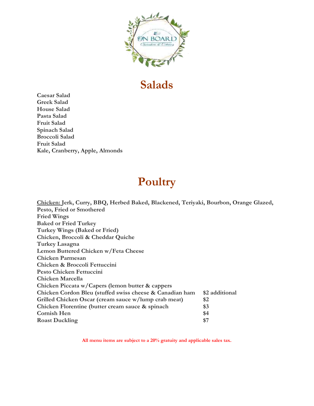

## **Salads**

**Caesar Salad Greek Salad House Salad Pasta Salad Fruit Salad Spinach Salad Broccoli Salad Fruit Salad Kale, Cranberry, Apple, Almonds**

## **Poultry**

| Chicken: Jerk, Curry, BBQ, Herbed Baked, Blackened, Teriyaki, Bourbon, Orange Glazed, |                |
|---------------------------------------------------------------------------------------|----------------|
| Pesto, Fried or Smothered                                                             |                |
| <b>Fried Wings</b>                                                                    |                |
| <b>Baked or Fried Turkey</b>                                                          |                |
| Turkey Wings (Baked or Fried)                                                         |                |
| Chicken, Broccoli & Cheddar Quiche                                                    |                |
| Turkey Lasagna                                                                        |                |
| Lemon Buttered Chicken w/Feta Cheese                                                  |                |
| <b>Chicken Parmesan</b>                                                               |                |
| Chicken & Broccoli Fettuccini                                                         |                |
| <b>Pesto Chicken Fettuccini</b>                                                       |                |
| Chicken Marcella                                                                      |                |
| Chicken Piccata w/Capers (lemon butter & cappers                                      |                |
| Chicken Cordon Bleu (stuffed swiss cheese & Canadian ham                              | \$2 additional |
| Grilled Chicken Oscar (cream sauce w/lump crab meat)                                  | \$2            |
| Chicken Florentine (butter cream sauce & spinach                                      | \$3            |
| <b>Cornish Hen</b>                                                                    | \$4            |
| <b>Roast Duckling</b>                                                                 | \$7            |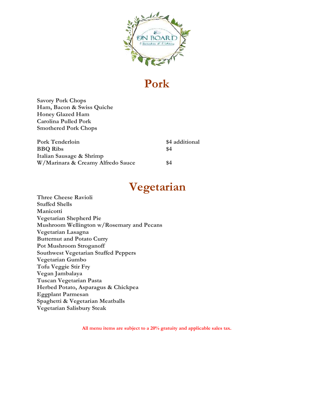

## **Pork**

**Savory Pork Chops Ham, Bacon & Swiss Quiche Honey Glazed Ham Carolina Pulled Pork Smothered Pork Chops**

| <b>Pork Tenderloin</b>            | \$4 additional |
|-----------------------------------|----------------|
| <b>BBQ</b> Ribs                   | \$4            |
| Italian Sausage & Shrimp          |                |
| W/Marinara & Creamy Alfredo Sauce | \$4            |

## **Vegetarian**

**Three Cheese Ravioli Stuffed Shells Manicotti Vegetarian Shepherd Pie Mushroom Wellington w/Rosemary and Pecans Vegetarian Lasagna Butternut and Potato Curry Pot Mushroom Stroganoff Southwest Vegetarian Stuffed Peppers Vegetarian Gumbo Tofu Veggie Stir Fry Vegan Jambalaya Tuscan Vegetarian Pasta Herbed Potato, Asparagus & Chickpea Eggplant Parmesan Spaghetti & Vegetarian Meatballs Vegetarian Salisbury Steak**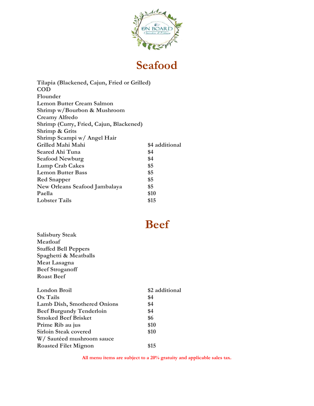

## **Seafood**

| Tilapia (Blackened, Cajun, Fried or Grilled) |                |
|----------------------------------------------|----------------|
| <b>COD</b>                                   |                |
| Flounder                                     |                |
| <b>Lemon Butter Cream Salmon</b>             |                |
| Shrimp w/Bourbon & Mushroom                  |                |
| <b>Creamy Alfredo</b>                        |                |
| Shrimp (Curry, Fried, Cajun, Blackened)      |                |
| Shrimp & Grits                               |                |
| Shrimp Scampi w/ Angel Hair                  |                |
| Grilled Mahi Mahi                            | \$4 additional |
| Seared Ahi Tuna                              | \$4            |
| <b>Seafood Newburg</b>                       | \$4            |
| <b>Lump Crab Cakes</b>                       | \$5            |
| <b>Lemon Butter Bass</b>                     | \$5            |
| <b>Red Snapper</b>                           | \$5            |
| New Orleans Seafood Jambalaya                | \$5            |
| Paella                                       | \$10           |
| <b>Lobster Tails</b>                         | \$15           |

## **Beef**

**Salisbury Steak Meatloaf Stuffed Bell Peppers Spaghetti & Meatballs Meat Lasagna Beef Stroganoff Roast Beef**

| London Broil                       | \$2 additional |
|------------------------------------|----------------|
| Ox Tails                           | \$4            |
| <b>Lamb Dish, Smothered Onions</b> | \$4            |
| <b>Beef Burgundy Tenderloin</b>    | \$4            |
| <b>Smoked Beef Brisket</b>         | \$6            |
| Prime Rib au jus                   | \$10           |
| <b>Sirloin Steak covered</b>       | \$10           |
| W/Sautéed mushroom sauce           |                |
| <b>Roasted Filet Mignon</b>        | \$15           |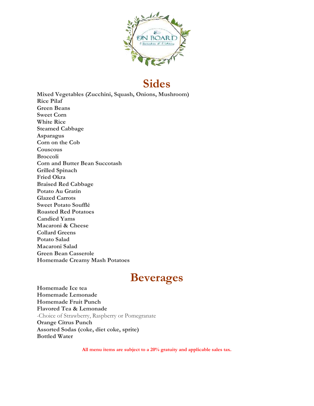

### **Sides**

**Mixed Vegetables (Zucchini, Squash, Onions, Mushroom) Rice Pilaf Green Beans Sweet Corn White Rice Steamed Cabbage Asparagus Corn on the Cob Couscous Broccoli Corn and Butter Bean Succotash Grilled Spinach Fried Okra Braised Red Cabbage Potato Au Gratin Glazed Carrots Sweet Potato Soufflé Roasted Red Potatoes Candied Yams Macaroni & Cheese Collard Greens Potato Salad Macaroni Salad Green Bean Casserole Homemade Creamy Mash Potatoes**

## **Beverages**

**Homemade Ice tea Homemade Lemonade Homemade Fruit Punch Flavored Tea & Lemonade** -Choice of Strawberry, Raspberry or Pomegranate **Orange Citrus Punch Assorted Sodas (coke, diet coke, sprite) Bottled Water**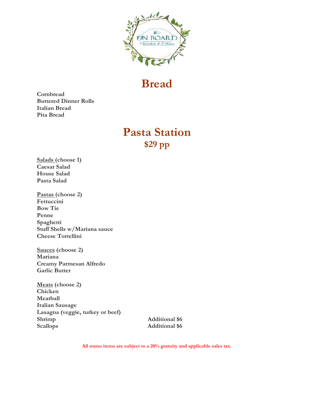

## **Bread**

**Cornbread Buttered Dinner Rolls Italian Bread Pita Bread**

### **Pasta Station \$29 pp**

**Salads (choose 1) Caesar Salad House Salad Pasta Salad**

**Pastas (choose 2) Fettuccini Bow Tie Penne Spaghetti Stuff Shells w/Mariana sauce Cheese Tortellini**

**Sauces (choose 2) Mariana Creamy Parmesan Alfredo Garlic Butter**

**Meats (choose 2) Chicken Meatball Italian Sausage Lasagna (veggie, turkey or beef) Shrimp Additional \$6** Scallops **Additional \$6**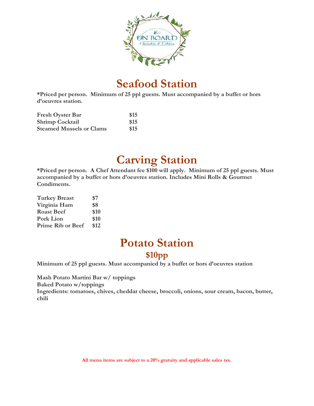

## **Seafood Station**

**\*Priced per person. Minimum of 25 ppl guests. Must accompanied by a buffet or hors d'oeuvres station.** 

| <b>Fresh Oyster Bar</b>         | \$15 |
|---------------------------------|------|
| <b>Shrimp Cocktail</b>          | \$15 |
| <b>Steamed Mussels or Clams</b> | \$15 |

## **Carving Station**

**\*Priced per person. A Chef Attendant fee \$100 will apply. Minimum of 25 ppl guests. Must accompanied by a buffet or hors d'oeuvres station. Includes Mini Rolls & Gourmet Condiments.**

| <b>Turkey Breast</b>     | \$7  |
|--------------------------|------|
| Virginia Ham             | \$8  |
| <b>Roast Beef</b>        | \$10 |
| <b>Pork Lion</b>         | \$10 |
| <b>Prime Rib or Beef</b> | \$12 |

## **Potato Station**

#### **\$10pp**

**Minimum of 25 ppl guests. Must accompanied by a buffet or hors d'oeuvres station** 

**Mash Potato Martini Bar w/ toppings**

**Baked Potato w/toppings**

**Ingredients: tomatoes, chives, cheddar cheese, broccoli, onions, sour cream, bacon, butter, chili**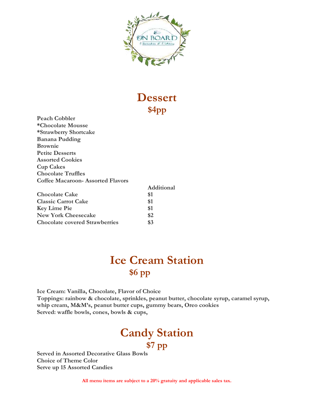

### **Dessert \$4pp**

**Peach Cobbler \*Chocolate Mousse \*Strawberry Shortcake Banana Pudding Brownie Petite Desserts Assorted Cookies Cup Cakes Chocolate Truffles Coffee Macaroon- Assorted Flavors**

|                                       | Additional |
|---------------------------------------|------------|
| <b>Chocolate Cake</b>                 | \$1        |
| <b>Classic Carrot Cake</b>            | \$1        |
| <b>Key Lime Pie</b>                   | \$1        |
| <b>New York Cheesecake</b>            | \$2        |
| <b>Chocolate covered Strawberries</b> | \$3        |

## **Ice Cream Station \$6 pp**

**Ice Cream: Vanilla, Chocolate, Flavor of Choice Toppings: rainbow & chocolate, sprinkles, peanut butter, chocolate syrup, caramel syrup, whip cream, M&M's, peanut butter cups, gummy bears, Oreo cookies Served: waffle bowls, cones, bowls & cups,** 

### **Candy Station \$7 pp**

**Served in Assorted Decorative Glass Bowls Choice of Theme Color Serve up 15 Assorted Candies**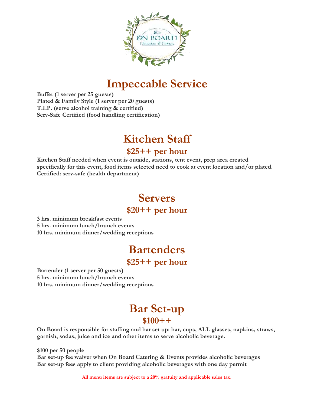

## **Impeccable Service**

**Buffet (1 server per 25 guests) Plated & Family Style (1 server per 20 guests) T.I.P. (serve alcohol training & certified) Serv-Safe Certified (food handling certification)**

## **Kitchen Staff**

#### **\$25++ per hour**

**Kitchen Staff needed when event is outside, stations, tent event, prep area created specifically for this event, food items selected need to cook at event location and/or plated. Certified: serv-safe (health department)**

## **Servers**

#### **\$20++ per hour**

**3 hrs. minimum breakfast events 5 hrs. minimum lunch/brunch events 10 hrs. minimum dinner/wedding receptions** 

## **Bartenders**

#### **\$25++ per hour**

**Bartender (1 server per 50 guests) 5 hrs. minimum lunch/brunch events 10 hrs. minimum dinner/wedding receptions** 

#### **Bar Set-up \$100++**

**On Board is responsible for staffing and bar set up: bar, cups, ALL glasses, napkins, straws, garnish, sodas, juice and ice and other items to serve alcoholic beverage.**

**\$100 per 50 people** 

**Bar set-up fee waiver when On Board Catering & Events provides alcoholic beverages Bar set-up fees apply to client providing alcoholic beverages with one day permit**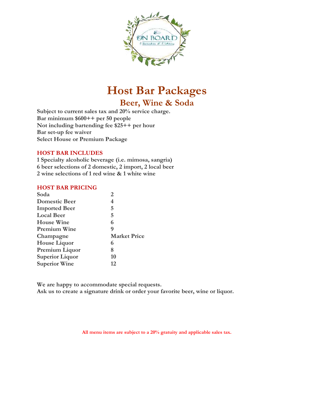

## **Host Bar Packages**

**Beer, Wine & Soda**

**Subject to current sales tax and 20% service charge. Bar minimum \$600++ per 50 people Not including bartending fee \$25++ per hour Bar set-up fee waiver Select House or Premium Package**

#### **HOST BAR INCLUDES**

**1 Specialty alcoholic beverage (i.e. mimosa, sangria) 6 beer selections of 2 domestic, 2 import, 2 local beer 2 wine selections of 1 red wine & 1 white wine**

#### **HOST BAR PRICING**

| Soda                   | 2                   |
|------------------------|---------------------|
| <b>Domestic Beer</b>   | 4                   |
| <b>Imported Beer</b>   | 5                   |
| <b>Local Beer</b>      | 5                   |
| <b>House Wine</b>      | 6                   |
| <b>Premium Wine</b>    | 9                   |
| Champagne              | <b>Market Price</b> |
| <b>House Liquor</b>    | 6                   |
| Premium Liquor         | 8                   |
| <b>Superior Liquor</b> | 10                  |
| <b>Superior Wine</b>   | 12                  |

**We are happy to accommodate special requests. Ask us to create a signature drink or order your favorite beer, wine or liquor.**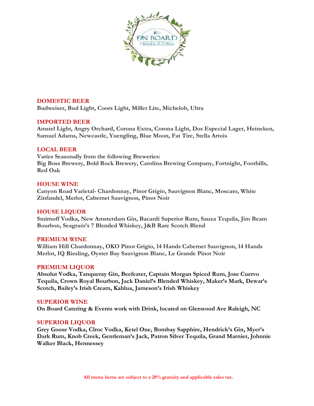

#### **DOMESTIC BEER**

**Budweiser, Bud Light, Coors Light, Miller Lite, Michelob, Ultra**

#### **IMPORTED BEER**

**Amstel Light, Angry Orchard, Corona Extra, Corona Light, Dos Especial Lager, Heineken, Samuel Adams, Newcastle, Yuengling, Blue Moon, Fat Tire, Stella Artois**

#### **LOCAL BEER**

**Varies Seasonally from the following Breweries: Big Boss Brewery, Bold Rock Brewery, Carolina Brewing Company, Fortnight, Foothills, Red Oak**

#### **HOUSE WINE**

**Canyon Road Varietal- Chardonnay, Pinot Grigio, Sauvignon Blanc, Moscato, White Zinfandel, Merlot, Cabernet Sauvignon, Pinot Noir**

#### **HOUSE LIQUOR**

**Smirnoff Vodka, New Amsterdam Gin, Bacardi Superior Rum, Sauza Tequila, Jim Beam Bourbon, Seagram's 7 Blended Whiskey, J&B Rare Scotch Blend**

#### **PREMIUM WINE**

**William Hill Chardonnay, OKO Pinot Grigio, 14 Hands Cabernet Sauvignon, 14 Hands Merlot, IQ Riesling, Oyster Bay Sauvignon Blanc, Le Grande Pinot Noir**

#### **PREMIUM LIQUOR**

**Absolut Vodka, Tanqueray Gin, Beefeater, Captain Morgan Spiced Rum, Jose Cuervo Tequila, Crown Royal Bourbon, Jack Daniel's Blended Whiskey, Maker's Mark, Dewar's Scotch, Bailey's Irish Cream, Kahlua, Jameson's Irish Whiskey**

#### **SUPERIOR WINE**

**On Board Catering & Events work with Drink, located on Glenwood Ave Raleigh, NC**

#### **SUPERIOR LIQUOR**

**Grey Goose Vodka, Cîroc Vodka, Ketel One, Bombay Sapphire, Hendrick's Gin, Myer's Dark Rum, Knob Creek, Gentleman's Jack, Patron Silver Tequila, Grand Marnier, Johnnie Walker Black, Hennessey**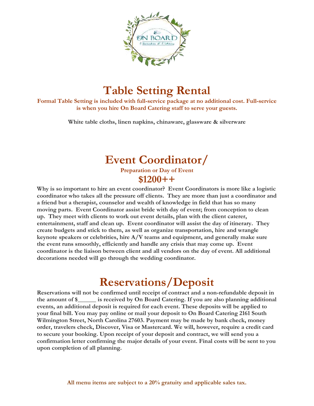

## **Table Setting Rental**

**Formal Table Setting is included with full-service package at no additional cost. Full-service is when you hire On Board Catering staff to serve your guests.**

**White table cloths, linen napkins, chinaware, glassware & silverware**

#### **Event Coordinator/ Preparation or Day of Event \$1200++**

**Why is so important to hire an event coordinator? Event Coordinators is more like a logistic coordinator who takes all the pressure off clients. They are more than just a coordinator and a friend but a therapist, counselor and wealth of knowledge in field that has so many moving parts. Event Coordinator assist bride with day of event; from conception to clean up. They meet with clients to work out event details, plan with the client caterer, entertainment, staff and clean up. Event coordinator will assist the day of itinerary. They create budgets and stick to them, as well as organize transportation, hire and wrangle keynote speakers or celebrities, hire A/V teams and equipment, and generally make sure the event runs smoothly, efficiently and handle any crisis that may come up. Event coordinator is the liaison between client and all vendors on the day of event. All additional decorations needed will go through the wedding coordinator.** 

## **Reservations/Deposit**

**Reservations will not be confirmed until receipt of contract and a non-refundable deposit in the amount of \$\_\_\_\_\_\_ is received by On Board Catering. If you are also planning additional events, an additional deposit is required for each event. These deposits will be applied to your final bill. You may pay online or mail your deposit to On Board Catering 2161 South Wilmington Street, North Carolina 27603. Payment may be made by bank check, money order, travelers check, Discover, Visa or Mastercard. We will, however, require a credit card to secure your booking. Upon receipt of your deposit and contract, we will send you a confirmation letter confirming the major details of your event. Final costs will be sent to you upon completion of all planning.**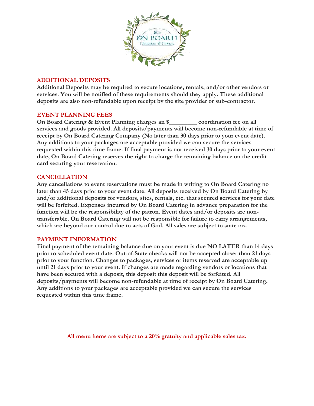

#### **ADDITIONAL DEPOSITS**

**Additional Deposits may be required to secure locations, rentals, and/or other vendors or services. You will be notified of these requirements should they apply. These additional deposits are also non-refundable upon receipt by the site provider or sub-contractor.** 

#### **EVENT PLANNING FEES**

**On Board Catering & Event Planning charges an \$\_\_\_\_\_\_\_\_\_ coordination fee on all services and goods provided. All deposits/payments will become non-refundable at time of receipt by On Board Catering Company (No later than 30 days prior to your event date). Any additions to your packages are acceptable provided we can secure the services requested within this time frame. If final payment is not received 30 days prior to your event date, On Board Catering reserves the right to charge the remaining balance on the credit card securing your reservation.**

#### **CANCELLATION**

**Any cancellations to event reservations must be made in writing to On Board Catering no later than 45 days prior to your event date. All deposits received by On Board Catering by and/or additional deposits for vendors, sites, rentals, etc. that secured services for your date will be forfeited. Expenses incurred by On Board Catering in advance preparation for the function will be the responsibility of the patron. Event dates and/or deposits are nontransferable. On Board Catering will not be responsible for failure to carry arrangements, which are beyond our control due to acts of God. All sales are subject to state tax.**

#### **PAYMENT INFORMATION**

**Final payment of the remaining balance due on your event is due NO LATER than 14 days prior to scheduled event date. Out-of-State checks will not be accepted closer than 21 days prior to your function. Changes to packages, services or items reserved are acceptable up until 21 days prior to your event. If changes are made regarding vendors or locations that have been secured with a deposit, this deposit this deposit will be forfeited. All deposits/payments will become non-refundable at time of receipt by On Board Catering. Any additions to your packages are acceptable provided we can secure the services requested within this time frame.**